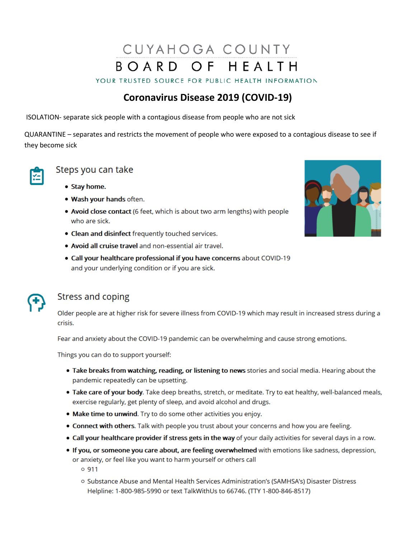# CUYAHOGA COUNTY BOARD OF HEALTH

YOUR TRUSTED SOURCE FOR PUBLIC HEALTH INFORMATION

## **Coronavirus Disease 2019 (COVID-19)**

ISOLATION- separate sick people with a contagious disease from people who are not sick

QUARANTINE - separates and restricts the movement of people who were exposed to a contagious disease to see if they become sick



#### Steps you can take

- Stay home.
- . Wash your hands often.
- . Avoid close contact (6 feet, which is about two arm lengths) with people who are sick.
- Clean and disinfect frequently touched services.
- Avoid all cruise travel and non-essential air travel.
- . Call your healthcare professional if you have concerns about COVID-19 and your underlying condition or if you are sick.



### **Stress and coping**

Older people are at higher risk for severe illness from COVID-19 which may result in increased stress during a crisis.

Fear and anxiety about the COVID-19 pandemic can be overwhelming and cause strong emotions.

Things you can do to support yourself:

- . Take breaks from watching, reading, or listening to news stories and social media. Hearing about the pandemic repeatedly can be upsetting.
- . Take care of your body. Take deep breaths, stretch, or meditate. Try to eat healthy, well-balanced meals, exercise regularly, get plenty of sleep, and avoid alcohol and drugs.
- . Make time to unwind. Try to do some other activities you enjoy.
- . Connect with others. Talk with people you trust about your concerns and how you are feeling.
- . Call your healthcare provider if stress gets in the way of your daily activities for several days in a row.
- . If you, or someone you care about, are feeling overwhelmed with emotions like sadness, depression, or anxiety, or feel like you want to harm yourself or others call

 $0.911$ 

o Substance Abuse and Mental Health Services Administration's (SAMHSA's) Disaster Distress Helpline: 1-800-985-5990 or text TalkWithUs to 66746. (TTY 1-800-846-8517)